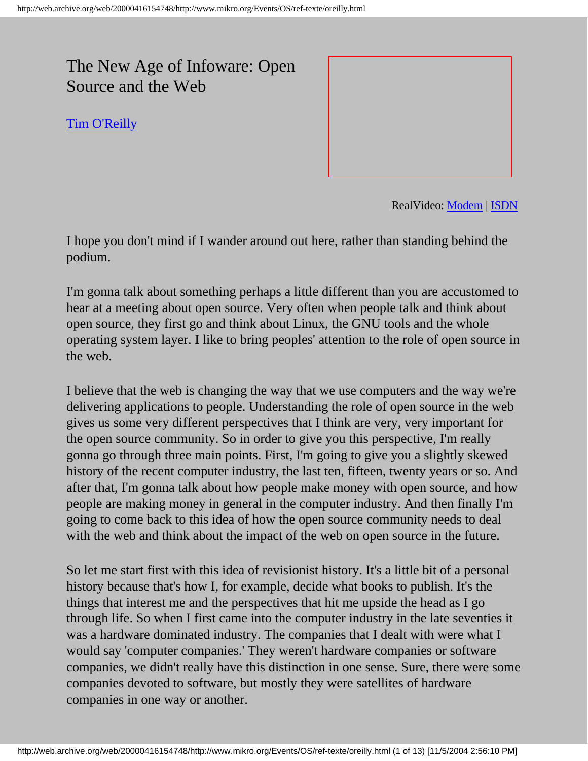## The New Age of Infoware: Open Source and the Web

[Tim O'Reilly](http://www.mikro.org/Events/OS/referenten/oreilly.html)



RealVideo: [Modem](http://www.mediaweb-tv.com/99/wos/ram/16/28_2000_reilly.ram) | [ISDN](http://www.mediaweb-tv.com/99/wos/ram/16/56_2000_reilly.ram)

I hope you don't mind if I wander around out here, rather than standing behind the podium.

I'm gonna talk about something perhaps a little different than you are accustomed to hear at a meeting about open source. Very often when people talk and think about open source, they first go and think about Linux, the GNU tools and the whole operating system layer. I like to bring peoples' attention to the role of open source in the web.

I believe that the web is changing the way that we use computers and the way we're delivering applications to people. Understanding the role of open source in the web gives us some very different perspectives that I think are very, very important for the open source community. So in order to give you this perspective, I'm really gonna go through three main points. First, I'm going to give you a slightly skewed history of the recent computer industry, the last ten, fifteen, twenty years or so. And after that, I'm gonna talk about how people make money with open source, and how people are making money in general in the computer industry. And then finally I'm going to come back to this idea of how the open source community needs to deal with the web and think about the impact of the web on open source in the future.

So let me start first with this idea of revisionist history. It's a little bit of a personal history because that's how I, for example, decide what books to publish. It's the things that interest me and the perspectives that hit me upside the head as I go through life. So when I first came into the computer industry in the late seventies it was a hardware dominated industry. The companies that I dealt with were what I would say 'computer companies.' They weren't hardware companies or software companies, we didn't really have this distinction in one sense. Sure, there were some companies devoted to software, but mostly they were satellites of hardware companies in one way or another.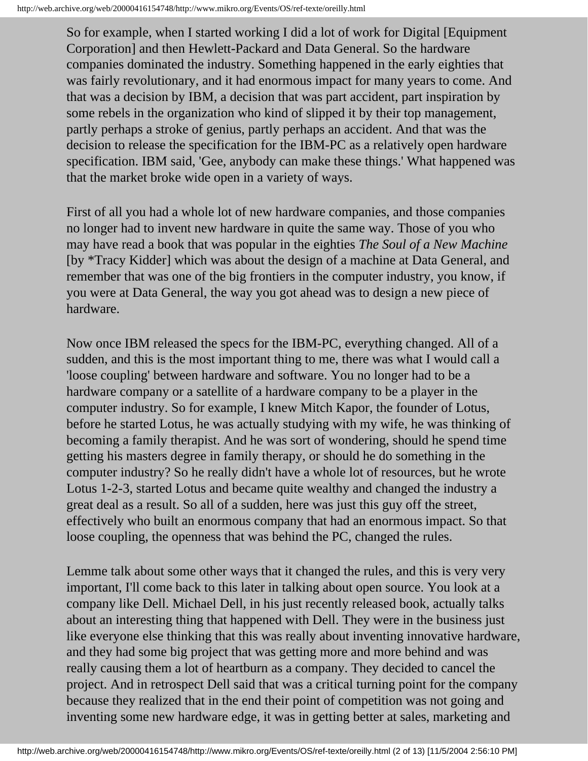So for example, when I started working I did a lot of work for Digital [Equipment Corporation] and then Hewlett-Packard and Data General. So the hardware companies dominated the industry. Something happened in the early eighties that was fairly revolutionary, and it had enormous impact for many years to come. And that was a decision by IBM, a decision that was part accident, part inspiration by some rebels in the organization who kind of slipped it by their top management, partly perhaps a stroke of genius, partly perhaps an accident. And that was the decision to release the specification for the IBM-PC as a relatively open hardware specification. IBM said, 'Gee, anybody can make these things.' What happened was that the market broke wide open in a variety of ways.

First of all you had a whole lot of new hardware companies, and those companies no longer had to invent new hardware in quite the same way. Those of you who may have read a book that was popular in the eighties *The Soul of a New Machine* [by \*Tracy Kidder] which was about the design of a machine at Data General, and remember that was one of the big frontiers in the computer industry, you know, if you were at Data General, the way you got ahead was to design a new piece of hardware.

Now once IBM released the specs for the IBM-PC, everything changed. All of a sudden, and this is the most important thing to me, there was what I would call a 'loose coupling' between hardware and software. You no longer had to be a hardware company or a satellite of a hardware company to be a player in the computer industry. So for example, I knew Mitch Kapor, the founder of Lotus, before he started Lotus, he was actually studying with my wife, he was thinking of becoming a family therapist. And he was sort of wondering, should he spend time getting his masters degree in family therapy, or should he do something in the computer industry? So he really didn't have a whole lot of resources, but he wrote Lotus 1-2-3, started Lotus and became quite wealthy and changed the industry a great deal as a result. So all of a sudden, here was just this guy off the street, effectively who built an enormous company that had an enormous impact. So that loose coupling, the openness that was behind the PC, changed the rules.

Lemme talk about some other ways that it changed the rules, and this is very very important, I'll come back to this later in talking about open source. You look at a company like Dell. Michael Dell, in his just recently released book, actually talks about an interesting thing that happened with Dell. They were in the business just like everyone else thinking that this was really about inventing innovative hardware, and they had some big project that was getting more and more behind and was really causing them a lot of heartburn as a company. They decided to cancel the project. And in retrospect Dell said that was a critical turning point for the company because they realized that in the end their point of competition was not going and inventing some new hardware edge, it was in getting better at sales, marketing and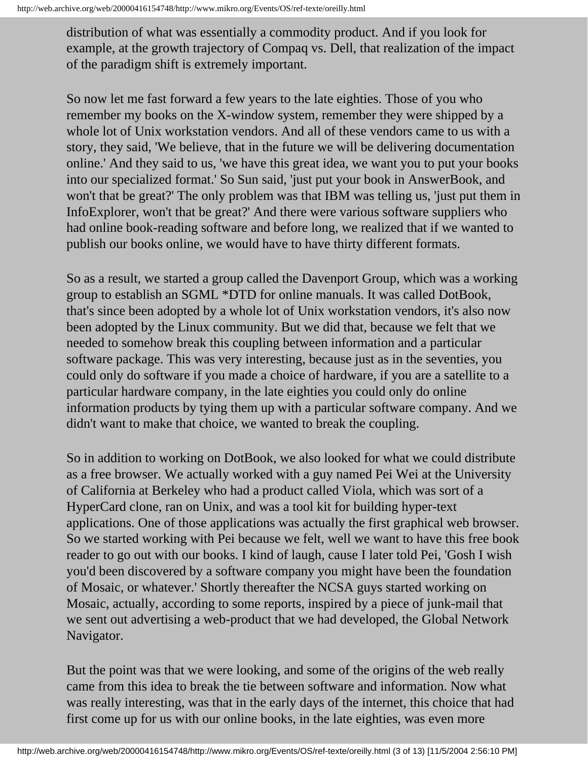distribution of what was essentially a commodity product. And if you look for example, at the growth trajectory of Compaq vs. Dell, that realization of the impact of the paradigm shift is extremely important.

So now let me fast forward a few years to the late eighties. Those of you who remember my books on the X-window system, remember they were shipped by a whole lot of Unix workstation vendors. And all of these vendors came to us with a story, they said, 'We believe, that in the future we will be delivering documentation online.' And they said to us, 'we have this great idea, we want you to put your books into our specialized format.' So Sun said, 'just put your book in AnswerBook, and won't that be great?' The only problem was that IBM was telling us, 'just put them in InfoExplorer, won't that be great?' And there were various software suppliers who had online book-reading software and before long, we realized that if we wanted to publish our books online, we would have to have thirty different formats.

So as a result, we started a group called the Davenport Group, which was a working group to establish an SGML \*DTD for online manuals. It was called DotBook, that's since been adopted by a whole lot of Unix workstation vendors, it's also now been adopted by the Linux community. But we did that, because we felt that we needed to somehow break this coupling between information and a particular software package. This was very interesting, because just as in the seventies, you could only do software if you made a choice of hardware, if you are a satellite to a particular hardware company, in the late eighties you could only do online information products by tying them up with a particular software company. And we didn't want to make that choice, we wanted to break the coupling.

So in addition to working on DotBook, we also looked for what we could distribute as a free browser. We actually worked with a guy named Pei Wei at the University of California at Berkeley who had a product called Viola, which was sort of a HyperCard clone, ran on Unix, and was a tool kit for building hyper-text applications. One of those applications was actually the first graphical web browser. So we started working with Pei because we felt, well we want to have this free book reader to go out with our books. I kind of laugh, cause I later told Pei, 'Gosh I wish you'd been discovered by a software company you might have been the foundation of Mosaic, or whatever.' Shortly thereafter the NCSA guys started working on Mosaic, actually, according to some reports, inspired by a piece of junk-mail that we sent out advertising a web-product that we had developed, the Global Network Navigator.

But the point was that we were looking, and some of the origins of the web really came from this idea to break the tie between software and information. Now what was really interesting, was that in the early days of the internet, this choice that had first come up for us with our online books, in the late eighties, was even more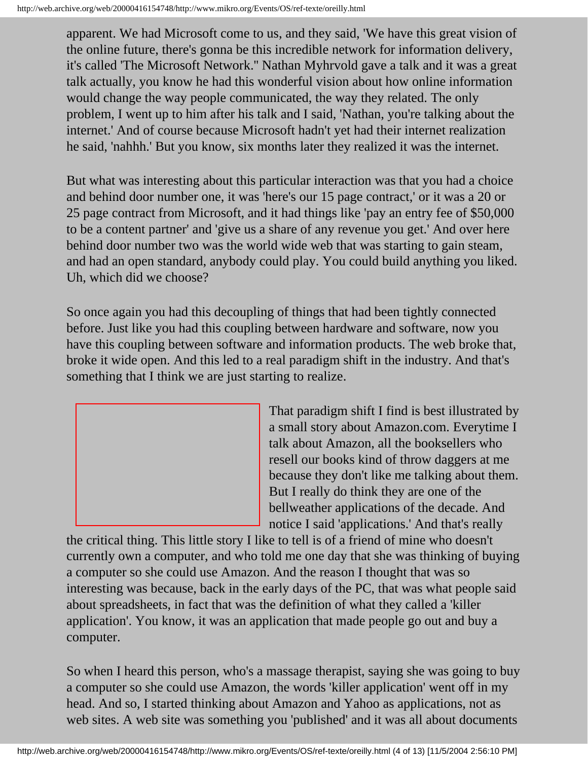apparent. We had Microsoft come to us, and they said, 'We have this great vision of the online future, there's gonna be this incredible network for information delivery, it's called 'The Microsoft Network.'' Nathan Myhrvold gave a talk and it was a great talk actually, you know he had this wonderful vision about how online information would change the way people communicated, the way they related. The only problem, I went up to him after his talk and I said, 'Nathan, you're talking about the internet.' And of course because Microsoft hadn't yet had their internet realization he said, 'nahhh.' But you know, six months later they realized it was the internet.

But what was interesting about this particular interaction was that you had a choice and behind door number one, it was 'here's our 15 page contract,' or it was a 20 or 25 page contract from Microsoft, and it had things like 'pay an entry fee of \$50,000 to be a content partner' and 'give us a share of any revenue you get.' And over here behind door number two was the world wide web that was starting to gain steam, and had an open standard, anybody could play. You could build anything you liked. Uh, which did we choose?

So once again you had this decoupling of things that had been tightly connected before. Just like you had this coupling between hardware and software, now you have this coupling between software and information products. The web broke that, broke it wide open. And this led to a real paradigm shift in the industry. And that's something that I think we are just starting to realize.



That paradigm shift I find is best illustrated by a small story about Amazon.com. Everytime I talk about Amazon, all the booksellers who resell our books kind of throw daggers at me because they don't like me talking about them. But I really do think they are one of the bellweather applications of the decade. And notice I said 'applications.' And that's really

the critical thing. This little story I like to tell is of a friend of mine who doesn't currently own a computer, and who told me one day that she was thinking of buying a computer so she could use Amazon. And the reason I thought that was so interesting was because, back in the early days of the PC, that was what people said about spreadsheets, in fact that was the definition of what they called a 'killer application'. You know, it was an application that made people go out and buy a computer.

So when I heard this person, who's a massage therapist, saying she was going to buy a computer so she could use Amazon, the words 'killer application' went off in my head. And so, I started thinking about Amazon and Yahoo as applications, not as web sites. A web site was something you 'published' and it was all about documents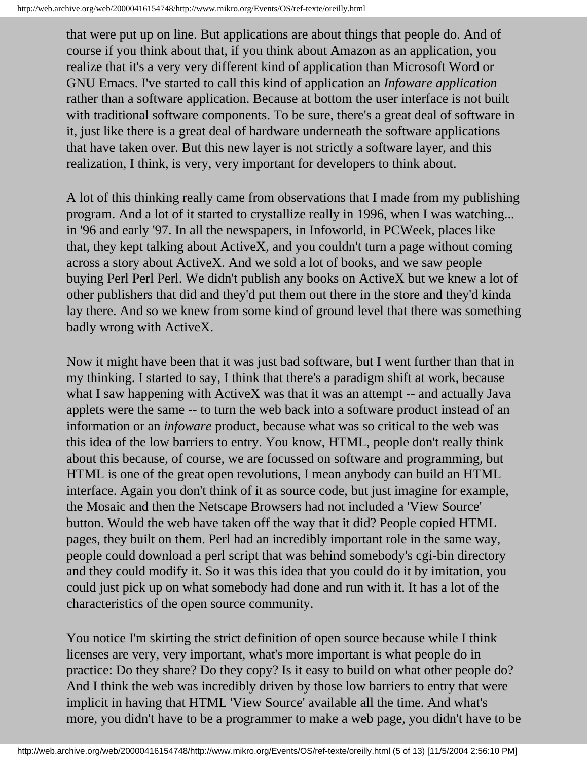that were put up on line. But applications are about things that people do. And of course if you think about that, if you think about Amazon as an application, you realize that it's a very very different kind of application than Microsoft Word or GNU Emacs. I've started to call this kind of application an *Infoware application* rather than a software application. Because at bottom the user interface is not built with traditional software components. To be sure, there's a great deal of software in it, just like there is a great deal of hardware underneath the software applications that have taken over. But this new layer is not strictly a software layer, and this realization, I think, is very, very important for developers to think about.

A lot of this thinking really came from observations that I made from my publishing program. And a lot of it started to crystallize really in 1996, when I was watching... in '96 and early '97. In all the newspapers, in Infoworld, in PCWeek, places like that, they kept talking about ActiveX, and you couldn't turn a page without coming across a story about ActiveX. And we sold a lot of books, and we saw people buying Perl Perl Perl. We didn't publish any books on ActiveX but we knew a lot of other publishers that did and they'd put them out there in the store and they'd kinda lay there. And so we knew from some kind of ground level that there was something badly wrong with ActiveX.

Now it might have been that it was just bad software, but I went further than that in my thinking. I started to say, I think that there's a paradigm shift at work, because what I saw happening with ActiveX was that it was an attempt -- and actually Java applets were the same -- to turn the web back into a software product instead of an information or an *infoware* product, because what was so critical to the web was this idea of the low barriers to entry. You know, HTML, people don't really think about this because, of course, we are focussed on software and programming, but HTML is one of the great open revolutions, I mean anybody can build an HTML interface. Again you don't think of it as source code, but just imagine for example, the Mosaic and then the Netscape Browsers had not included a 'View Source' button. Would the web have taken off the way that it did? People copied HTML pages, they built on them. Perl had an incredibly important role in the same way, people could download a perl script that was behind somebody's cgi-bin directory and they could modify it. So it was this idea that you could do it by imitation, you could just pick up on what somebody had done and run with it. It has a lot of the characteristics of the open source community.

You notice I'm skirting the strict definition of open source because while I think licenses are very, very important, what's more important is what people do in practice: Do they share? Do they copy? Is it easy to build on what other people do? And I think the web was incredibly driven by those low barriers to entry that were implicit in having that HTML 'View Source' available all the time. And what's more, you didn't have to be a programmer to make a web page, you didn't have to be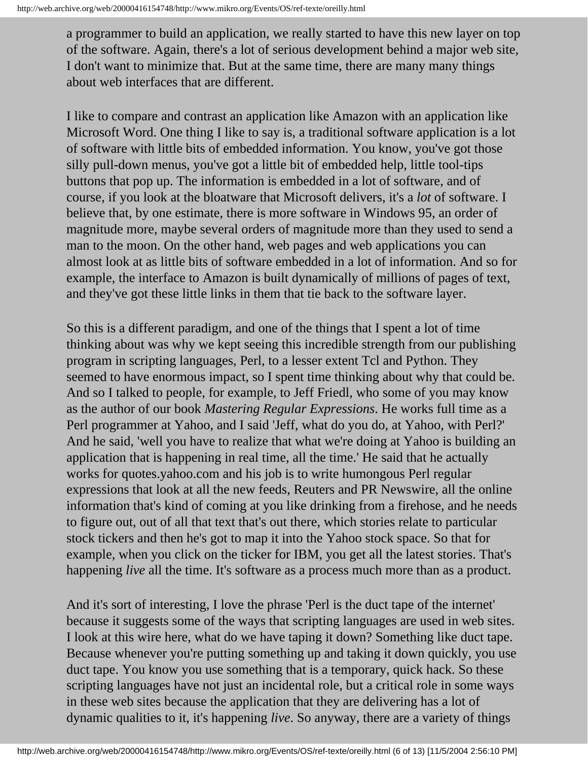a programmer to build an application, we really started to have this new layer on top of the software. Again, there's a lot of serious development behind a major web site, I don't want to minimize that. But at the same time, there are many many things about web interfaces that are different.

I like to compare and contrast an application like Amazon with an application like Microsoft Word. One thing I like to say is, a traditional software application is a lot of software with little bits of embedded information. You know, you've got those silly pull-down menus, you've got a little bit of embedded help, little tool-tips buttons that pop up. The information is embedded in a lot of software, and of course, if you look at the bloatware that Microsoft delivers, it's a *lot* of software. I believe that, by one estimate, there is more software in Windows 95, an order of magnitude more, maybe several orders of magnitude more than they used to send a man to the moon. On the other hand, web pages and web applications you can almost look at as little bits of software embedded in a lot of information. And so for example, the interface to Amazon is built dynamically of millions of pages of text, and they've got these little links in them that tie back to the software layer.

So this is a different paradigm, and one of the things that I spent a lot of time thinking about was why we kept seeing this incredible strength from our publishing program in scripting languages, Perl, to a lesser extent Tcl and Python. They seemed to have enormous impact, so I spent time thinking about why that could be. And so I talked to people, for example, to Jeff Friedl, who some of you may know as the author of our book *Mastering Regular Expressions*. He works full time as a Perl programmer at Yahoo, and I said 'Jeff, what do you do, at Yahoo, with Perl?' And he said, 'well you have to realize that what we're doing at Yahoo is building an application that is happening in real time, all the time.' He said that he actually works for quotes.yahoo.com and his job is to write humongous Perl regular expressions that look at all the new feeds, Reuters and PR Newswire, all the online information that's kind of coming at you like drinking from a firehose, and he needs to figure out, out of all that text that's out there, which stories relate to particular stock tickers and then he's got to map it into the Yahoo stock space. So that for example, when you click on the ticker for IBM, you get all the latest stories. That's happening *live* all the time. It's software as a process much more than as a product.

And it's sort of interesting, I love the phrase 'Perl is the duct tape of the internet' because it suggests some of the ways that scripting languages are used in web sites. I look at this wire here, what do we have taping it down? Something like duct tape. Because whenever you're putting something up and taking it down quickly, you use duct tape. You know you use something that is a temporary, quick hack. So these scripting languages have not just an incidental role, but a critical role in some ways in these web sites because the application that they are delivering has a lot of dynamic qualities to it, it's happening *live*. So anyway, there are a variety of things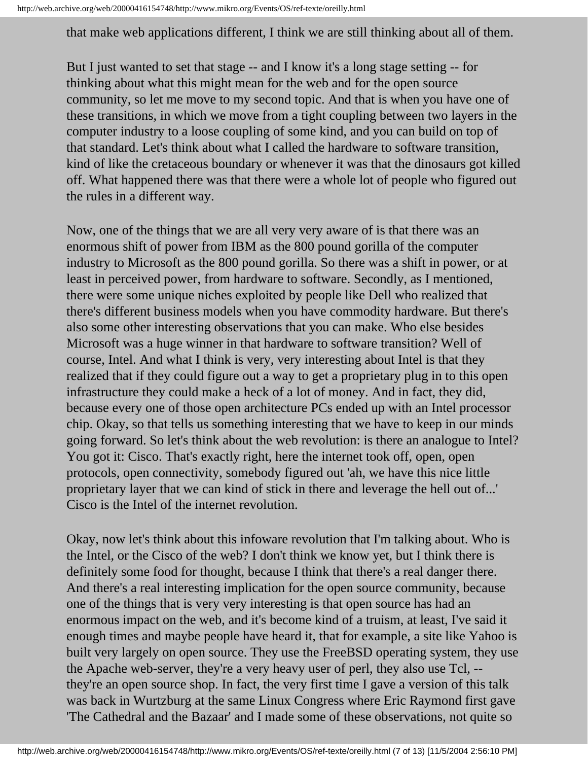that make web applications different, I think we are still thinking about all of them.

But I just wanted to set that stage -- and I know it's a long stage setting -- for thinking about what this might mean for the web and for the open source community, so let me move to my second topic. And that is when you have one of these transitions, in which we move from a tight coupling between two layers in the computer industry to a loose coupling of some kind, and you can build on top of that standard. Let's think about what I called the hardware to software transition, kind of like the cretaceous boundary or whenever it was that the dinosaurs got killed off. What happened there was that there were a whole lot of people who figured out the rules in a different way.

Now, one of the things that we are all very very aware of is that there was an enormous shift of power from IBM as the 800 pound gorilla of the computer industry to Microsoft as the 800 pound gorilla. So there was a shift in power, or at least in perceived power, from hardware to software. Secondly, as I mentioned, there were some unique niches exploited by people like Dell who realized that there's different business models when you have commodity hardware. But there's also some other interesting observations that you can make. Who else besides Microsoft was a huge winner in that hardware to software transition? Well of course, Intel. And what I think is very, very interesting about Intel is that they realized that if they could figure out a way to get a proprietary plug in to this open infrastructure they could make a heck of a lot of money. And in fact, they did, because every one of those open architecture PCs ended up with an Intel processor chip. Okay, so that tells us something interesting that we have to keep in our minds going forward. So let's think about the web revolution: is there an analogue to Intel? You got it: Cisco. That's exactly right, here the internet took off, open, open protocols, open connectivity, somebody figured out 'ah, we have this nice little proprietary layer that we can kind of stick in there and leverage the hell out of...' Cisco is the Intel of the internet revolution.

Okay, now let's think about this infoware revolution that I'm talking about. Who is the Intel, or the Cisco of the web? I don't think we know yet, but I think there is definitely some food for thought, because I think that there's a real danger there. And there's a real interesting implication for the open source community, because one of the things that is very very interesting is that open source has had an enormous impact on the web, and it's become kind of a truism, at least, I've said it enough times and maybe people have heard it, that for example, a site like Yahoo is built very largely on open source. They use the FreeBSD operating system, they use the Apache web-server, they're a very heavy user of perl, they also use Tcl, - they're an open source shop. In fact, the very first time I gave a version of this talk was back in Wurtzburg at the same Linux Congress where Eric Raymond first gave 'The Cathedral and the Bazaar' and I made some of these observations, not quite so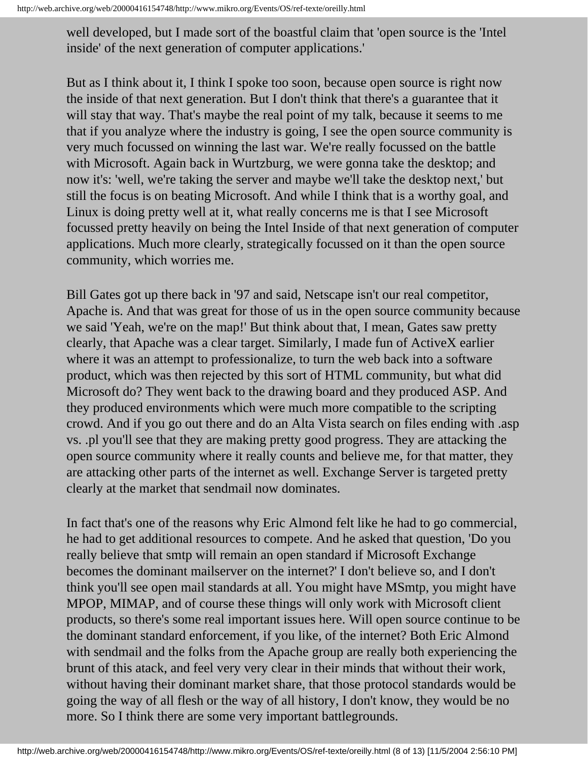well developed, but I made sort of the boastful claim that 'open source is the 'Intel inside' of the next generation of computer applications.'

But as I think about it, I think I spoke too soon, because open source is right now the inside of that next generation. But I don't think that there's a guarantee that it will stay that way. That's maybe the real point of my talk, because it seems to me that if you analyze where the industry is going, I see the open source community is very much focussed on winning the last war. We're really focussed on the battle with Microsoft. Again back in Wurtzburg, we were gonna take the desktop; and now it's: 'well, we're taking the server and maybe we'll take the desktop next,' but still the focus is on beating Microsoft. And while I think that is a worthy goal, and Linux is doing pretty well at it, what really concerns me is that I see Microsoft focussed pretty heavily on being the Intel Inside of that next generation of computer applications. Much more clearly, strategically focussed on it than the open source community, which worries me.

Bill Gates got up there back in '97 and said, Netscape isn't our real competitor, Apache is. And that was great for those of us in the open source community because we said 'Yeah, we're on the map!' But think about that, I mean, Gates saw pretty clearly, that Apache was a clear target. Similarly, I made fun of ActiveX earlier where it was an attempt to professionalize, to turn the web back into a software product, which was then rejected by this sort of HTML community, but what did Microsoft do? They went back to the drawing board and they produced ASP. And they produced environments which were much more compatible to the scripting crowd. And if you go out there and do an Alta Vista search on files ending with .asp vs. .pl you'll see that they are making pretty good progress. They are attacking the open source community where it really counts and believe me, for that matter, they are attacking other parts of the internet as well. Exchange Server is targeted pretty clearly at the market that sendmail now dominates.

In fact that's one of the reasons why Eric Almond felt like he had to go commercial, he had to get additional resources to compete. And he asked that question, 'Do you really believe that smtp will remain an open standard if Microsoft Exchange becomes the dominant mailserver on the internet?' I don't believe so, and I don't think you'll see open mail standards at all. You might have MSmtp, you might have MPOP, MIMAP, and of course these things will only work with Microsoft client products, so there's some real important issues here. Will open source continue to be the dominant standard enforcement, if you like, of the internet? Both Eric Almond with sendmail and the folks from the Apache group are really both experiencing the brunt of this atack, and feel very very clear in their minds that without their work, without having their dominant market share, that those protocol standards would be going the way of all flesh or the way of all history, I don't know, they would be no more. So I think there are some very important battlegrounds.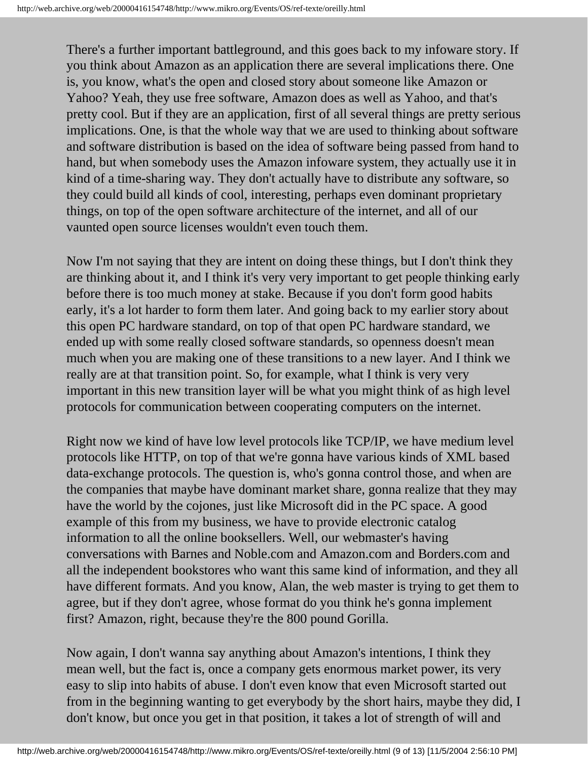There's a further important battleground, and this goes back to my infoware story. If you think about Amazon as an application there are several implications there. One is, you know, what's the open and closed story about someone like Amazon or Yahoo? Yeah, they use free software, Amazon does as well as Yahoo, and that's pretty cool. But if they are an application, first of all several things are pretty serious implications. One, is that the whole way that we are used to thinking about software and software distribution is based on the idea of software being passed from hand to hand, but when somebody uses the Amazon infoware system, they actually use it in kind of a time-sharing way. They don't actually have to distribute any software, so they could build all kinds of cool, interesting, perhaps even dominant proprietary things, on top of the open software architecture of the internet, and all of our vaunted open source licenses wouldn't even touch them.

Now I'm not saying that they are intent on doing these things, but I don't think they are thinking about it, and I think it's very very important to get people thinking early before there is too much money at stake. Because if you don't form good habits early, it's a lot harder to form them later. And going back to my earlier story about this open PC hardware standard, on top of that open PC hardware standard, we ended up with some really closed software standards, so openness doesn't mean much when you are making one of these transitions to a new layer. And I think we really are at that transition point. So, for example, what I think is very very important in this new transition layer will be what you might think of as high level protocols for communication between cooperating computers on the internet.

Right now we kind of have low level protocols like TCP/IP, we have medium level protocols like HTTP, on top of that we're gonna have various kinds of XML based data-exchange protocols. The question is, who's gonna control those, and when are the companies that maybe have dominant market share, gonna realize that they may have the world by the cojones, just like Microsoft did in the PC space. A good example of this from my business, we have to provide electronic catalog information to all the online booksellers. Well, our webmaster's having conversations with Barnes and Noble.com and Amazon.com and Borders.com and all the independent bookstores who want this same kind of information, and they all have different formats. And you know, Alan, the web master is trying to get them to agree, but if they don't agree, whose format do you think he's gonna implement first? Amazon, right, because they're the 800 pound Gorilla.

Now again, I don't wanna say anything about Amazon's intentions, I think they mean well, but the fact is, once a company gets enormous market power, its very easy to slip into habits of abuse. I don't even know that even Microsoft started out from in the beginning wanting to get everybody by the short hairs, maybe they did, I don't know, but once you get in that position, it takes a lot of strength of will and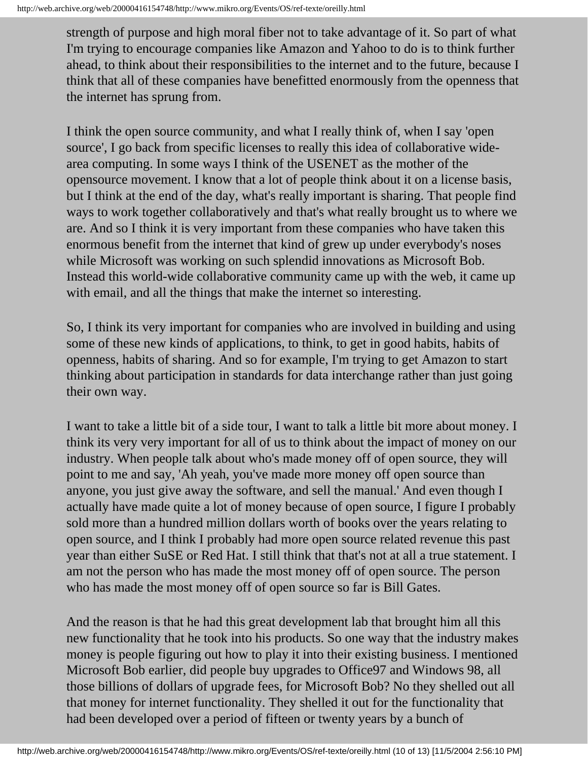strength of purpose and high moral fiber not to take advantage of it. So part of what I'm trying to encourage companies like Amazon and Yahoo to do is to think further ahead, to think about their responsibilities to the internet and to the future, because I think that all of these companies have benefitted enormously from the openness that the internet has sprung from.

I think the open source community, and what I really think of, when I say 'open source', I go back from specific licenses to really this idea of collaborative widearea computing. In some ways I think of the USENET as the mother of the opensource movement. I know that a lot of people think about it on a license basis, but I think at the end of the day, what's really important is sharing. That people find ways to work together collaboratively and that's what really brought us to where we are. And so I think it is very important from these companies who have taken this enormous benefit from the internet that kind of grew up under everybody's noses while Microsoft was working on such splendid innovations as Microsoft Bob. Instead this world-wide collaborative community came up with the web, it came up with email, and all the things that make the internet so interesting.

So, I think its very important for companies who are involved in building and using some of these new kinds of applications, to think, to get in good habits, habits of openness, habits of sharing. And so for example, I'm trying to get Amazon to start thinking about participation in standards for data interchange rather than just going their own way.

I want to take a little bit of a side tour, I want to talk a little bit more about money. I think its very very important for all of us to think about the impact of money on our industry. When people talk about who's made money off of open source, they will point to me and say, 'Ah yeah, you've made more money off open source than anyone, you just give away the software, and sell the manual.' And even though I actually have made quite a lot of money because of open source, I figure I probably sold more than a hundred million dollars worth of books over the years relating to open source, and I think I probably had more open source related revenue this past year than either SuSE or Red Hat. I still think that that's not at all a true statement. I am not the person who has made the most money off of open source. The person who has made the most money off of open source so far is Bill Gates.

And the reason is that he had this great development lab that brought him all this new functionality that he took into his products. So one way that the industry makes money is people figuring out how to play it into their existing business. I mentioned Microsoft Bob earlier, did people buy upgrades to Office97 and Windows 98, all those billions of dollars of upgrade fees, for Microsoft Bob? No they shelled out all that money for internet functionality. They shelled it out for the functionality that had been developed over a period of fifteen or twenty years by a bunch of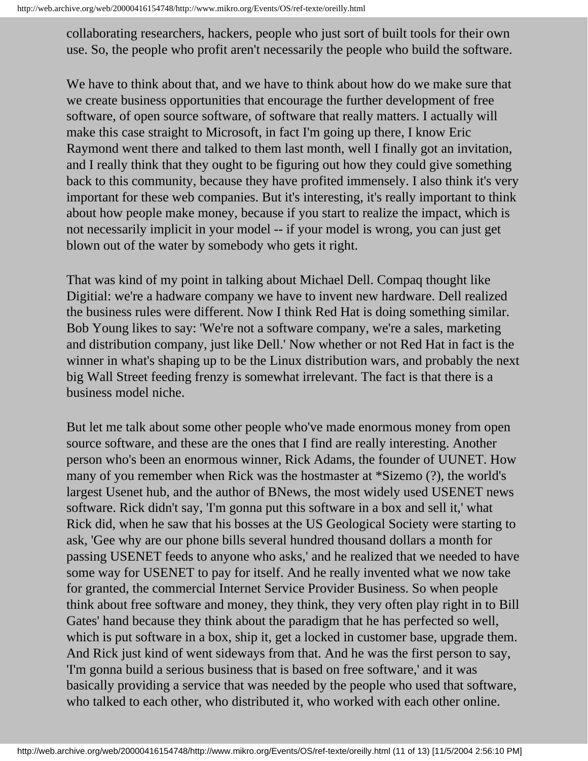collaborating researchers, hackers, people who just sort of built tools for their own use. So, the people who profit aren't necessarily the people who build the software.

We have to think about that, and we have to think about how do we make sure that we create business opportunities that encourage the further development of free software, of open source software, of software that really matters. I actually will make this case straight to Microsoft, in fact I'm going up there, I know Eric Raymond went there and talked to them last month, well I finally got an invitation, and I really think that they ought to be figuring out how they could give something back to this community, because they have profited immensely. I also think it's very important for these web companies. But it's interesting, it's really important to think about how people make money, because if you start to realize the impact, which is not necessarily implicit in your model -- if your model is wrong, you can just get blown out of the water by somebody who gets it right.

That was kind of my point in talking about Michael Dell. Compaq thought like Digitial: we're a hadware company we have to invent new hardware. Dell realized the business rules were different. Now I think Red Hat is doing something similar. Bob Young likes to say: 'We're not a software company, we're a sales, marketing and distribution company, just like Dell.' Now whether or not Red Hat in fact is the winner in what's shaping up to be the Linux distribution wars, and probably the next big Wall Street feeding frenzy is somewhat irrelevant. The fact is that there is a business model niche.

But let me talk about some other people who've made enormous money from open source software, and these are the ones that I find are really interesting. Another person who's been an enormous winner, Rick Adams, the founder of UUNET. How many of you remember when Rick was the hostmaster at \*Sizemo (?), the world's largest Usenet hub, and the author of BNews, the most widely used USENET news software. Rick didn't say, 'I'm gonna put this software in a box and sell it,' what Rick did, when he saw that his bosses at the US Geological Society were starting to ask, 'Gee why are our phone bills several hundred thousand dollars a month for passing USENET feeds to anyone who asks,' and he realized that we needed to have some way for USENET to pay for itself. And he really invented what we now take for granted, the commercial Internet Service Provider Business. So when people think about free software and money, they think, they very often play right in to Bill Gates' hand because they think about the paradigm that he has perfected so well, which is put software in a box, ship it, get a locked in customer base, upgrade them. And Rick just kind of went sideways from that. And he was the first person to say, 'I'm gonna build a serious business that is based on free software,' and it was basically providing a service that was needed by the people who used that software, who talked to each other, who distributed it, who worked with each other online.